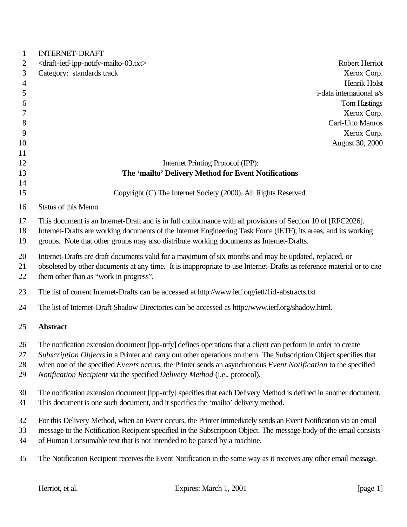| $\mathbf{1}$   | <b>INTERNET-DRAFT</b>                                                                                                 |
|----------------|-----------------------------------------------------------------------------------------------------------------------|
| 2              | <draft-ietf-ipp-notify-mailto-03.txt><br/><b>Robert Herriot</b></draft-ietf-ipp-notify-mailto-03.txt>                 |
| 3              | Xerox Corp.<br>Category: standards track                                                                              |
| $\overline{4}$ | Henrik Holst                                                                                                          |
| 5              | i-data international a/s                                                                                              |
| 6              | <b>Tom Hastings</b>                                                                                                   |
| 7              | Xerox Corp.                                                                                                           |
| 8              | Carl-Uno Manros                                                                                                       |
| 9              | Xerox Corp.                                                                                                           |
| 10             | August 30, 2000                                                                                                       |
| 11             |                                                                                                                       |
| 12             | Internet Printing Protocol (IPP):                                                                                     |
| 13             | The 'mailto' Delivery Method for Event Notifications                                                                  |
| 14             |                                                                                                                       |
| 15             | Copyright (C) The Internet Society (2000). All Rights Reserved.                                                       |
| 16             | <b>Status of this Memo</b>                                                                                            |
| 17             | This document is an Internet-Draft and is in full conformance with all provisions of Section 10 of [RFC2026].         |
| 18             | Internet-Drafts are working documents of the Internet Engineering Task Force (IETF), its areas, and its working       |
| 19             | groups. Note that other groups may also distribute working documents as Internet-Drafts.                              |
| 20             | Internet-Drafts are draft documents valid for a maximum of six months and may be updated, replaced, or                |
| 21             | obsoleted by other documents at any time. It is inappropriate to use Internet-Drafts as reference material or to cite |
| 22             | them other than as "work in progress".                                                                                |
|                |                                                                                                                       |
| 23             | The list of current Internet-Drafts can be accessed at http://www.ietf.org/ietf/1id-abstracts.txt                     |
| 24             | The list of Internet-Draft Shadow Directories can be accessed as http://www.ietf.org/shadow.html.                     |
| 25             | <b>Abstract</b>                                                                                                       |
|                |                                                                                                                       |
| 26             | The notification extension document [ipp-ntfy] defines operations that a client can perform in order to create        |
| 27             | Subscription Objects in a Printer and carry out other operations on them. The Subscription Object specifies that      |
| 28             | when one of the specified Events occurs, the Printer sends an asynchronous Event Notification to the specified        |
| 29             | Notification Recipient via the specified Delivery Method (i.e., protocol).                                            |
| 30             | The notification extension document [ipp-ntfy] specifies that each Delivery Method is defined in another document.    |
| 31             | This document is one such document, and it specifies the 'mailto' delivery method.                                    |
|                |                                                                                                                       |
| 32             | For this Delivery Method, when an Event occurs, the Printer immediately sends an Event Notification via an email      |
| 33             | message to the Notification Recipient specified in the Subscription Object. The message body of the email consists    |
| 34             | of Human Consumable text that is not intended to be parsed by a machine.                                              |
| 35             | The Notification Recipient receives the Event Notification in the same way as it receives any other email message.    |
|                |                                                                                                                       |
|                |                                                                                                                       |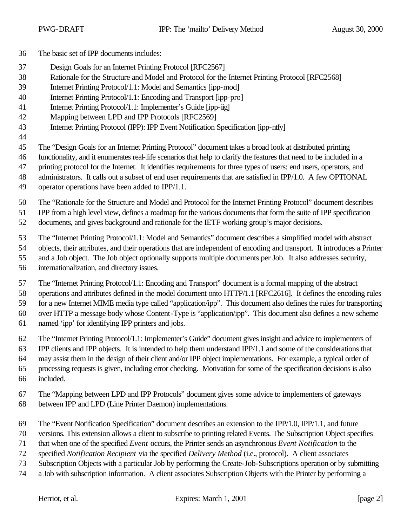- The basic set of IPP documents includes:
- Design Goals for an Internet Printing Protocol [RFC2567]
- Rationale for the Structure and Model and Protocol for the Internet Printing Protocol [RFC2568]
- Internet Printing Protocol/1.1: Model and Semantics [ipp-mod]
- Internet Printing Protocol/1.1: Encoding and Transport [ipp-pro]
- Internet Printing Protocol/1.1: Implementer's Guide [ipp-iig]
- Mapping between LPD and IPP Protocols [RFC2569]
- Internet Printing Protocol (IPP): IPP Event Notification Specification [ipp-ntfy]
- 

The "Design Goals for an Internet Printing Protocol" document takes a broad look at distributed printing

functionality, and it enumerates real-life scenarios that help to clarify the features that need to be included in a

- printing protocol for the Internet. It identifies requirements for three types of users: end users, operators, and administrators. It calls out a subset of end user requirements that are satisfied in IPP/1.0. A few OPTIONAL
- operator operations have been added to IPP/1.1.
	- The "Rationale for the Structure and Model and Protocol for the Internet Printing Protocol" document describes

IPP from a high level view, defines a roadmap for the various documents that form the suite of IPP specification

documents, and gives background and rationale for the IETF working group's major decisions.

The "Internet Printing Protocol/1.1: Model and Semantics" document describes a simplified model with abstract

objects, their attributes, and their operations that are independent of encoding and transport. It introduces a Printer

- and a Job object. The Job object optionally supports multiple documents per Job. It also addresses security,
- internationalization, and directory issues.

The "Internet Printing Protocol/1.1: Encoding and Transport" document is a formal mapping of the abstract

operations and attributes defined in the model document onto HTTP/1.1 [RFC2616]. It defines the encoding rules

 for a new Internet MIME media type called "application/ipp". This document also defines the rules for transporting over HTTP a message body whose Content-Type is "application/ipp". This document also defines a new scheme

- named 'ipp' for identifying IPP printers and jobs.
- The "Internet Printing Protocol/1.1: Implementer's Guide" document gives insight and advice to implementers of

IPP clients and IPP objects. It is intended to help them understand IPP/1.1 and some of the considerations that

may assist them in the design of their client and/or IPP object implementations. For example, a typical order of

- processing requests is given, including error checking. Motivation for some of the specification decisions is also
- included.
- The "Mapping between LPD and IPP Protocols" document gives some advice to implementers of gateways
- between IPP and LPD (Line Printer Daemon) implementations.
- The "Event Notification Specification" document describes an extension to the IPP/1.0, IPP/1.1, and future
- versions. This extension allows a client to subscribe to printing related Events. The Subscription Object specifies
- that when one of the specified *Event* occurs, the Printer sends an asynchronous *Event Notification* to the
- specified *Notification Recipient* via the specified *Delivery Method* (i.e., protocol). A client associates
- Subscription Objects with a particular Job by performing the Create-Job-Subscriptions operation or by submitting
- a Job with subscription information. A client associates Subscription Objects with the Printer by performing a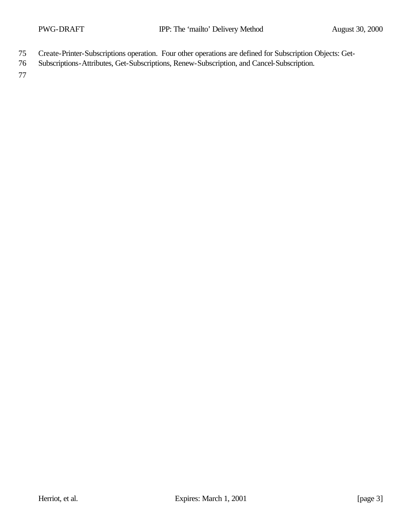- 75 Create-Printer-Subscriptions operation. Four other operations are defined for Subscription Objects: Get-
- 76 Subscriptions-Attributes, Get-Subscriptions, Renew-Subscription, and Cancel-Subscription.

77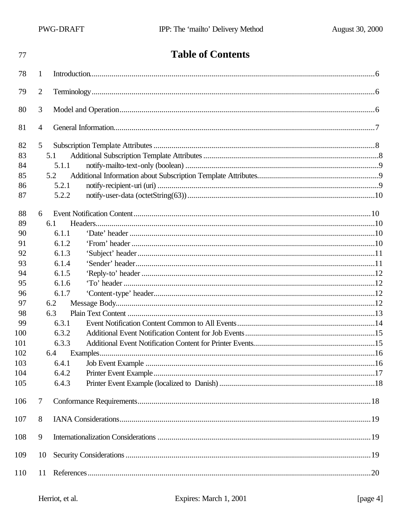| 77  |                | <b>Table of Contents</b> |  |
|-----|----------------|--------------------------|--|
| 78  | 1              |                          |  |
| 79  | $\overline{2}$ |                          |  |
| 80  | 3              |                          |  |
| 81  | $\overline{4}$ |                          |  |
| 82  | 5              |                          |  |
| 83  | 5.1            |                          |  |
| 84  | 5.1.1          |                          |  |
| 85  | 5.2            |                          |  |
| 86  | 5.2.1          |                          |  |
| 87  | 5.2.2          |                          |  |
| 88  | 6              |                          |  |
| 89  | 6.1            |                          |  |
| 90  | 6.1.1          |                          |  |
| 91  | 6.1.2          |                          |  |
| 92  | 6.1.3          |                          |  |
| 93  | 6.1.4          |                          |  |
| 94  | 6.1.5          |                          |  |
| 95  | 6.1.6          |                          |  |
| 96  | 6.1.7          |                          |  |
| 97  | 6.2            |                          |  |
| 98  | 6.3            |                          |  |
| 99  | 6.3.1          |                          |  |
| 100 | 6.3.2          |                          |  |
| 101 | 6.3.3          |                          |  |
| 102 | 6.4            |                          |  |
| 103 | 6.4.1          |                          |  |
| 104 | 6.4.2          |                          |  |
| 105 | 6.4.3          |                          |  |
| 106 | 7              |                          |  |
| 107 | 8              |                          |  |
| 108 | 9              |                          |  |
| 109 | 10             |                          |  |
| 110 | 11             |                          |  |
|     |                |                          |  |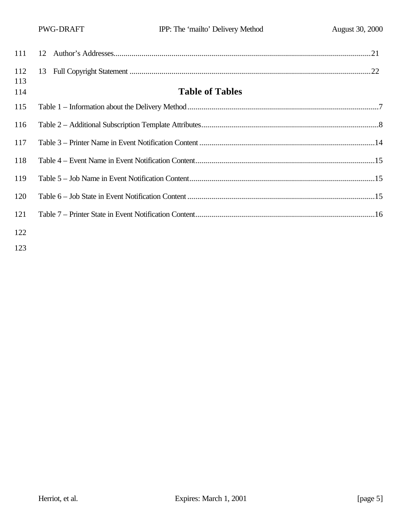| 111        |                        |
|------------|------------------------|
| 112<br>113 |                        |
| 114        | <b>Table of Tables</b> |
| 115        |                        |
| 116        |                        |
| 117        |                        |
| 118        |                        |
| 119        |                        |
| 120        |                        |
| 121        |                        |
| 122        |                        |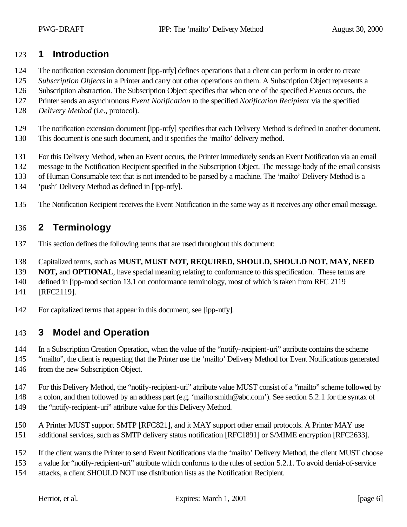## **1 Introduction**

- The notification extension document [ipp-ntfy] defines operations that a client can perform in order to create
- *Subscription Objects* in a Printer and carry out other operations on them. A Subscription Object represents a
- Subscription abstraction. The Subscription Object specifies that when one of the specified *Events* occurs, the
- Printer sends an asynchronous *Event Notification* to the specified *Notification Recipient* via the specified
- *Delivery Method* (i.e., protocol).
- The notification extension document [ipp-ntfy] specifies that each Delivery Method is defined in another document.
- This document is one such document, and it specifies the 'mailto' delivery method.
- For this Delivery Method, when an Event occurs, the Printer immediately sends an Event Notification via an email
- message to the Notification Recipient specified in the Subscription Object. The message body of the email consists
- of Human Consumable text that is not intended to be parsed by a machine. The 'mailto' Delivery Method is a
- 'push' Delivery Method as defined in [ipp-ntfy].
- The Notification Recipient receives the Event Notification in the same way as it receives any other email message.

## **2 Terminology**

- This section defines the following terms that are used throughout this document:
- Capitalized terms, such as **MUST, MUST NOT, REQUIRED, SHOULD, SHOULD NOT, MAY, NEED**
- **NOT, and OPTIONAL**, have special meaning relating to conformance to this specification. These terms are
- defined in [ipp-mod section 13.1 on conformance terminology, most of which is taken from RFC 2119
- [RFC2119].
- For capitalized terms that appear in this document, see [ipp-ntfy].

# **3 Model and Operation**

- In a Subscription Creation Operation, when the value of the "notify-recipient-uri" attribute contains the scheme
- "mailto", the client is requesting that the Printer use the 'mailto' Delivery Method for Event Notifications generated 146 from the new Subscription Object.
- For this Delivery Method, the "notify-recipient-uri" attribute value MUST consist of a "mailto" scheme followed by
- a colon, and then followed by an address part (e.g. 'mailto:smith@abc.com'). See section 5.2.1 for the syntax of 149 the "notify-recipient-uri" attribute value for this Delivery Method.
- A Printer MUST support SMTP [RFC821], and it MAY support other email protocols. A Printer MAY use
- additional services, such as SMTP delivery status notification [RFC1891] or S/MIME encryption [RFC2633].
- If the client wants the Printer to send Event Notifications via the 'mailto' Delivery Method, the client MUST choose
- a value for "notify-recipient-uri" attribute which conforms to the rules of section 5.2.1. To avoid denial-of-service
- attacks, a client SHOULD NOT use distribution lists as the Notification Recipient.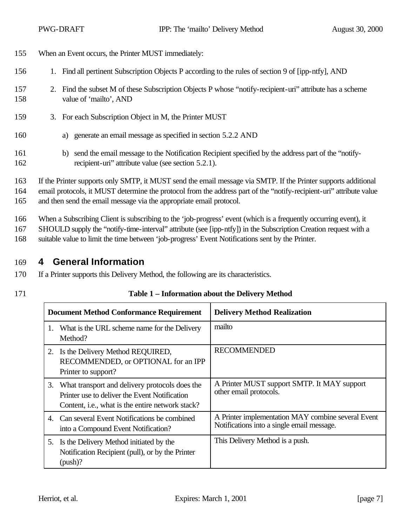- 155 When an Event occurs, the Printer MUST immediately:
- 156 1. Find all pertinent Subscription Objects P according to the rules of section 9 of [ipp-ntfy], AND
- 157 2. Find the subset M of these Subscription Objects P whose "notify-recipient-uri" attribute has a scheme 158 value of 'mailto', AND
- 159 3. For each Subscription Object in M, the Printer MUST
- 160 a) generate an email message as specified in section 5.2.2 AND
- 161 b) send the email message to the Notification Recipient specified by the address part of the "notify-162 recipient-uri" attribute value (see section 5.2.1).

163 If the Printer supports only SMTP, it MUST send the email message via SMTP. If the Printer supports additional 164 email protocols, it MUST determine the protocol from the address part of the "notify-recipient-uri" attribute value

165 and then send the email message via the appropriate email protocol.

166 When a Subscribing Client is subscribing to the 'job-progress' event (which is a frequently occurring event), it

167 SHOULD supply the "notify-time-interval" attribute (see [ipp-ntfy]) in the Subscription Creation request with a

168 suitable value to limit the time between 'job-progress' Event Notifications sent by the Printer.

## 169 **4 General Information**

- 170 If a Printer supports this Delivery Method, the following are its characteristics.
- 

### 171 **Table 1 – Information about the Delivery Method**

|    | <b>Document Method Conformance Requirement</b>                                                                                                                 | <b>Delivery Method Realization</b>                                                               |
|----|----------------------------------------------------------------------------------------------------------------------------------------------------------------|--------------------------------------------------------------------------------------------------|
| 1. | What is the URL scheme name for the Delivery<br>Method?                                                                                                        | mailto                                                                                           |
|    | 2. Is the Delivery Method REQUIRED,<br>RECOMMENDED, or OPTIONAL for an IPP<br>Printer to support?                                                              | <b>RECOMMENDED</b>                                                                               |
|    | 3. What transport and delivery protocols does the<br>Printer use to deliver the Event Notification<br>Content, <i>i.e.</i> , what is the entire network stack? | A Printer MUST support SMTP. It MAY support<br>other email protocols.                            |
|    | 4. Can several Event Notifications be combined<br>into a Compound Event Notification?                                                                          | A Printer implementation MAY combine several Event<br>Notifications into a single email message. |
|    | 5. Is the Delivery Method initiated by the<br>Notification Recipient (pull), or by the Printer<br>$(push)$ ?                                                   | This Delivery Method is a push.                                                                  |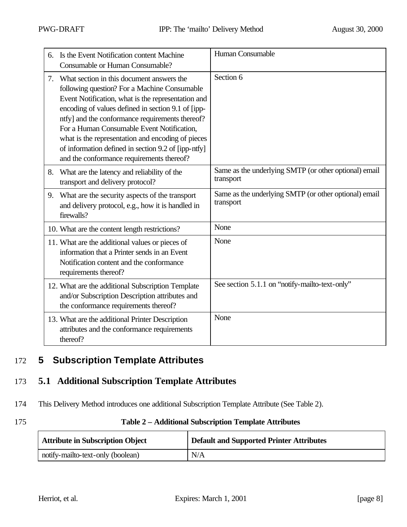| 6. | Is the Event Notification content Machine<br><b>Consumable or Human Consumable?</b>                                                                                                                                                                                                                                                                                                                                                                             | Human Consumable                                                   |
|----|-----------------------------------------------------------------------------------------------------------------------------------------------------------------------------------------------------------------------------------------------------------------------------------------------------------------------------------------------------------------------------------------------------------------------------------------------------------------|--------------------------------------------------------------------|
| 7. | What section in this document answers the<br>following question? For a Machine Consumable<br>Event Notification, what is the representation and<br>encoding of values defined in section 9.1 of [ipp-<br>ntfy] and the conformance requirements thereof?<br>For a Human Consumable Event Notification,<br>what is the representation and encoding of pieces<br>of information defined in section 9.2 of [ipp-ntfy]<br>and the conformance requirements thereof? | Section 6                                                          |
| 8. | What are the latency and reliability of the<br>transport and delivery protocol?                                                                                                                                                                                                                                                                                                                                                                                 | Same as the underlying SMTP (or other optional) email<br>transport |
| 9. | What are the security aspects of the transport<br>and delivery protocol, e.g., how it is handled in<br>firewalls?                                                                                                                                                                                                                                                                                                                                               | Same as the underlying SMTP (or other optional) email<br>transport |
|    | 10. What are the content length restrictions?                                                                                                                                                                                                                                                                                                                                                                                                                   | None                                                               |
|    | 11. What are the additional values or pieces of<br>information that a Printer sends in an Event<br>Notification content and the conformance<br>requirements thereof?                                                                                                                                                                                                                                                                                            | None                                                               |
|    | 12. What are the additional Subscription Template<br>and/or Subscription Description attributes and<br>the conformance requirements thereof?                                                                                                                                                                                                                                                                                                                    | See section 5.1.1 on "notify-mailto-text-only"                     |
|    | 13. What are the additional Printer Description<br>attributes and the conformance requirements<br>thereof?                                                                                                                                                                                                                                                                                                                                                      | None                                                               |

# 172 **5 Subscription Template Attributes**

## 173 **5.1 Additional Subscription Template Attributes**

174 This Delivery Method introduces one additional Subscription Template Attribute (See Table 2).

| 175 | Table 2 - Additional Subscription Template Attributes |
|-----|-------------------------------------------------------|
|     |                                                       |

| <b>Attribute in Subscription Object</b> | <b>Default and Supported Printer Attributes</b> |
|-----------------------------------------|-------------------------------------------------|
| notify-mailto-text-only (boolean)       | N/A                                             |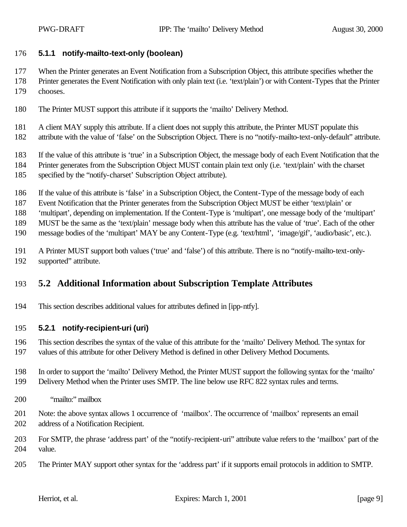### **5.1.1 notify-mailto-text-only (boolean)**

When the Printer generates an Event Notification from a Subscription Object, this attribute specifies whether the

 Printer generates the Event Notification with only plain text (i.e. 'text/plain') or with Content-Types that the Printer chooses.

- The Printer MUST support this attribute if it supports the 'mailto' Delivery Method.
- 181 A client MAY supply this attribute. If a client does not supply this attribute, the Printer MUST populate this
- attribute with the value of 'false' on the Subscription Object. There is no "notify-mailto-text-only-default" attribute.

If the value of this attribute is 'true' in a Subscription Object, the message body of each Event Notification that the

- Printer generates from the Subscription Object MUST contain plain text only (i.e. 'text/plain' with the charset specified by the "notify-charset' Subscription Object attribute).
- If the value of this attribute is 'false' in a Subscription Object, the Content-Type of the message body of each

Event Notification that the Printer generates from the Subscription Object MUST be either 'text/plain' or

'multipart', depending on implementation. If the Content-Type is 'multipart', one message body of the 'multipart'

MUST be the same as the 'text/plain' message body when this attribute has the value of 'true'. Each of the other

message bodies of the 'multipart' MAY be any Content-Type (e.g. 'text/html', 'image/gif', 'audio/basic', etc.).

 A Printer MUST support both values ('true' and 'false') of this attribute. There is no "notify-mailto-text-only-supported" attribute.

## **5.2 Additional Information about Subscription Template Attributes**

This section describes additional values for attributes defined in [ipp-ntfy].

### **5.2.1 notify-recipient-uri (uri)**

 This section describes the syntax of the value of this attribute for the 'mailto' Delivery Method. The syntax for values of this attribute for other Delivery Method is defined in other Delivery Method Documents.

- In order to support the 'mailto' Delivery Method, the Printer MUST support the following syntax for the 'mailto' Delivery Method when the Printer uses SMTP. The line below use RFC 822 syntax rules and terms.
- "mailto:" mailbox
- Note: the above syntax allows 1 occurrence of 'mailbox'. The occurrence of 'mailbox' represents an email address of a Notification Recipient.
- For SMTP, the phrase 'address part' of the "notify-recipient-uri" attribute value refers to the 'mailbox' part of the value.
- The Printer MAY support other syntax for the 'address part' if it supports email protocols in addition to SMTP.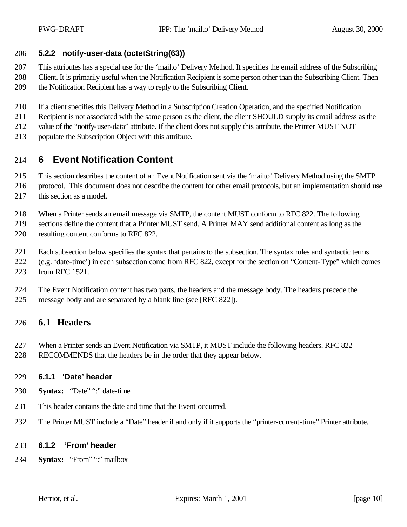#### **5.2.2 notify-user-data (octetString(63))**

 This attributes has a special use for the 'mailto' Delivery Method. It specifies the email address of the Subscribing Client. It is primarily useful when the Notification Recipient is some person other than the Subscribing Client. Then the Notification Recipient has a way to reply to the Subscribing Client.

- If a client specifies this Delivery Method in a Subscription Creation Operation, and the specified Notification
- Recipient is not associated with the same person as the client, the client SHOULD supply its email address as the
- value of the "notify-user-data" attribute. If the client does not supply this attribute, the Printer MUST NOT
- populate the Subscription Object with this attribute.

# **6 Event Notification Content**

- This section describes the content of an Event Notification sent via the 'mailto' Delivery Method using the SMTP
- protocol. This document does not describe the content for other email protocols, but an implementation should use this section as a model.
- When a Printer sends an email message via SMTP, the content MUST conform to RFC 822. The following

 sections define the content that a Printer MUST send. A Printer MAY send additional content as long as the resulting content conforms to RFC 822.

- Each subsection below specifies the syntax that pertains to the subsection. The syntax rules and syntactic terms
- (e.g. 'date-time') in each subsection come from RFC 822, except for the section on "Content-Type" which comes
- from RFC 1521.
- The Event Notification content has two parts, the headers and the message body. The headers precede the message body and are separated by a blank line (see [RFC 822]).

### **6.1 Headers**

- When a Printer sends an Event Notification via SMTP, it MUST include the following headers. RFC 822
- RECOMMENDS that the headers be in the order that they appear below.

### **6.1.1 'Date' header**

- **Syntax:** "Date" ":" date-time
- This header contains the date and time that the Event occurred.
- The Printer MUST include a "Date" header if and only if it supports the "printer-current-time" Printer attribute.

#### **6.1.2 'From' header**

**Syntax:** "From" ":" mailbox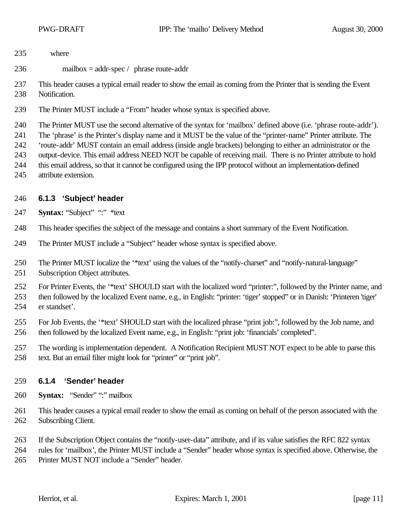- where
- mailbox = addr-spec / phrase route-addr

 This header causes a typical email reader to show the email as coming from the Printer that is sending the Event Notification.

The Printer MUST include a "From" header whose syntax is specified above.

The Printer MUST use the second alternative of the syntax for 'mailbox' defined above (i.e. 'phrase route-addr').

The 'phrase' is the Printer's display name and it MUST be the value of the "printer-name" Printer attribute. The

- 'route-addr' MUST contain an email address (inside angle brackets) belonging to either an administrator or the
- output-device. This email address NEED NOT be capable of receiving mail. There is no Printer attribute to hold
- this email address, so that it cannot be configured using the IPP protocol without an implementation-defined attribute extension.

## **6.1.3 'Subject' header**

- **Syntax:** "Subject" ":" \*text
- This header specifies the subject of the message and contains a short summary of the Event Notification.
- The Printer MUST include a "Subject" header whose syntax is specified above.
- The Printer MUST localize the '\*text' using the values of the "notify-charset" and "notify-natural-language" Subscription Object attributes.

 For Printer Events, the '\*text' SHOULD start with the localized word "printer:", followed by the Printer name, and then followed by the localized Event name, e.g., in English: "printer: 'tiger' stopped" or in Danish: 'Printeren 'tiger' er standset'.

- For Job Events, the '\*text' SHOULD start with the localized phrase "print job:", followed by the Job name, and then followed by the localized Event name, e.g., in English: "print job: 'financials' completed".
- The wording is implementation dependent. A Notification Recipient MUST NOT expect to be able to parse this text. But an email filter might look for "printer" or "print job".

## **6.1.4 'Sender' header**

- **Syntax:** "Sender" ":" mailbox
- This header causes a typical email reader to show the email as coming on behalf of the person associated with the Subscribing Client.
- If the Subscription Object contains the "notify-user-data" attribute, and if its value satisfies the RFC 822 syntax
- rules for 'mailbox', the Printer MUST include a "Sender" header whose syntax is specified above. Otherwise, the Printer MUST NOT include a "Sender" header.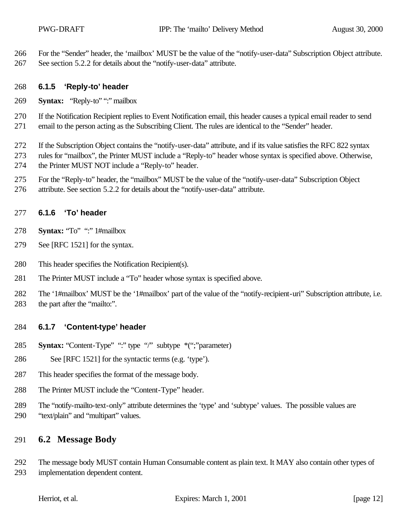For the "Sender" header, the 'mailbox' MUST be the value of the "notify-user-data" Subscription Object attribute.

See section 5.2.2 for details about the "notify-user-data" attribute.

### **6.1.5 'Reply-to' header**

**Syntax:** "Reply-to" ":" mailbox

 If the Notification Recipient replies to Event Notification email, this header causes a typical email reader to send email to the person acting as the Subscribing Client. The rules are identical to the "Sender" header.

 If the Subscription Object contains the "notify-user-data" attribute, and if its value satisfies the RFC 822 syntax rules for "mailbox", the Printer MUST include a "Reply-to" header whose syntax is specified above. Otherwise, the Printer MUST NOT include a "Reply-to" header.

- For the "Reply-to" header, the "mailbox" MUST be the value of the "notify-user-data" Subscription Object
- attribute. See section 5.2.2 for details about the "notify-user-data" attribute.

## **6.1.6 'To' header**

- **Syntax:** "To" ":" 1#mailbox
- See [RFC 1521] for the syntax.
- This header specifies the Notification Recipient(s).
- The Printer MUST include a "To" header whose syntax is specified above.

 The '1#mailbox' MUST be the '1#mailbox' part of the value of the "notify-recipient-uri" Subscription attribute, i.e. the part after the "mailto:".

## **6.1.7 'Content-type' header**

- **Syntax:** "Content-Type" ":" type "/" subtype \*(";"parameter)
- See [RFC 1521] for the syntactic terms (e.g. 'type').
- This header specifies the format of the message body.
- The Printer MUST include the "Content-Type" header.
- The "notify-mailto-text-only" attribute determines the 'type' and 'subtype' values. The possible values are
- "text/plain" and "multipart" values.

# **6.2 Message Body**

 The message body MUST contain Human Consumable content as plain text. It MAY also contain other types of implementation dependent content.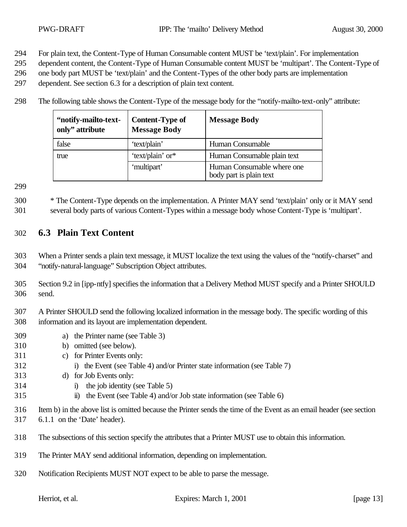- For plain text, the Content-Type of Human Consumable content MUST be 'text/plain'. For implementation
- dependent content, the Content-Type of Human Consumable content MUST be 'multipart'. The Content-Type of
- one body part MUST be 'text/plain' and the Content-Types of the other body parts are implementation
- dependent. See section 6.3 for a description of plain text content.
- The following table shows the Content-Type of the message body for the "notify-mailto-text-only" attribute:

| "notify-mailto-text-<br>only" attribute | <b>Content-Type of</b><br><b>Message Body</b> | <b>Message Body</b>                                   |
|-----------------------------------------|-----------------------------------------------|-------------------------------------------------------|
| false                                   | 'text/plain'                                  | Human Consumable                                      |
| true                                    | 'text/plain' or*                              | Human Consumable plain text                           |
|                                         | 'multipart'                                   | Human Consumable where one<br>body part is plain text |

 \* The Content-Type depends on the implementation. A Printer MAY send 'text/plain' only or it MAY send several body parts of various Content-Types within a message body whose Content-Type is 'multipart'.

## **6.3 Plain Text Content**

 When a Printer sends a plain text message, it MUST localize the text using the values of the "notify-charset" and "notify-natural-language" Subscription Object attributes.

- Section 9.2 in [ipp-ntfy] specifies the information that a Delivery Method MUST specify and a Printer SHOULD send.
- A Printer SHOULD send the following localized information in the message body. The specific wording of this information and its layout are implementation dependent.
- a) the Printer name (see Table 3)
- b) omitted (see below).
- c) for Printer Events only:
- i) the Event (see Table 4) and/or Printer state information (see Table 7)
- d) for Job Events only:
- i) the job identity (see Table 5)
- ii) the Event (see Table 4) and/or Job state information (see Table 6)
- Item b) in the above list is omitted because the Printer sends the time of the Event as an email header (see section
- 6.1.1 on the 'Date' header).
- The subsections of this section specify the attributes that a Printer MUST use to obtain this information.
- The Printer MAY send additional information, depending on implementation.
- Notification Recipients MUST NOT expect to be able to parse the message.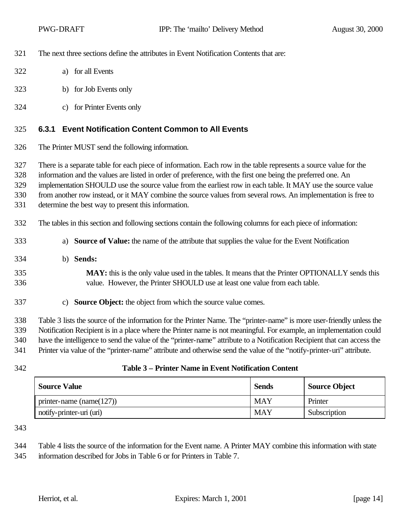- The next three sections define the attributes in Event Notification Contents that are:
- a) for all Events
- b) for Job Events only
- c) for Printer Events only

#### **6.3.1 Event Notification Content Common to All Events**

The Printer MUST send the following information.

There is a separate table for each piece of information. Each row in the table represents a source value for the

information and the values are listed in order of preference, with the first one being the preferred one. An

implementation SHOULD use the source value from the earliest row in each table. It MAY use the source value

from another row instead, or it MAY combine the source values from several rows. An implementation is free to

- determine the best way to present this information.
- The tables in this section and following sections contain the following columns for each piece of information:
- a) **Source of Value:** the name of the attribute that supplies the value for the Event Notification
- b) **Sends:**
- **MAY:** this is the only value used in the tables. It means that the Printer OPTIONALLY sends this value. However, the Printer SHOULD use at least one value from each table.
- c) **Source Object:** the object from which the source value comes.

 Table 3 lists the source of the information for the Printer Name. The "printer-name" is more user-friendly unless the Notification Recipient is in a place where the Printer name is not meaningful. For example, an implementation could have the intelligence to send the value of the "printer-name" attribute to a Notification Recipient that can access the Printer via value of the "printer-name" attribute and otherwise send the value of the "notify-printer-uri" attribute.

### **Table 3 – Printer Name in Event Notification Content**

| <b>Source Value</b>          | <b>Sends</b> | <b>Source Object</b> |
|------------------------------|--------------|----------------------|
| printer-name (name $(127)$ ) | <b>MAY</b>   | Printer              |
| notify-printer-uri (uri)     | MAY          | Subscription         |

Table 4 lists the source of the information for the Event name. A Printer MAY combine this information with state

information described for Jobs in Table 6 or for Printers in Table 7.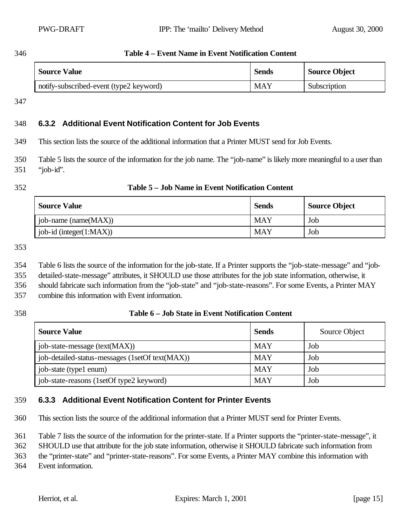**Table 4 – Event Name in Event Notification Content**

| <b>Source Value</b>                     | <b>Sends</b> | <b>Source Object</b> |
|-----------------------------------------|--------------|----------------------|
| notify-subscribed-event (type2 keyword) | MAY          | Subscription         |

### **6.3.2 Additional Event Notification Content for Job Events**

This section lists the source of the additional information that a Printer MUST send for Job Events.

 Table 5 lists the source of the information for the job name. The "job-name" is likely more meaningful to a user than "job-id".

#### **Table 5 – Job Name in Event Notification Content**

| <b>Source Value</b>         | <b>Sends</b> | <b>Source Object</b> |
|-----------------------------|--------------|----------------------|
| job-name (name(MAX))        | MAY          | Job                  |
| job-id (integer $(1:MAX)$ ) | MAY          | Job                  |

Table 6 lists the source of the information for the job-state. If a Printer supports the "job-state-message" and "job-

detailed-state-message" attributes, it SHOULD use those attributes for the job state information, otherwise, it

should fabricate such information from the "job-state" and "job-state-reasons". For some Events, a Printer MAY

combine this information with Event information.

### **Table 6 – Job State in Event Notification Content**

| <b>Source Value</b>                             | <b>Sends</b> | Source Object |
|-------------------------------------------------|--------------|---------------|
| job-state-message (text(MAX))                   | <b>MAY</b>   | Job           |
| job-detailed-status-messages (1setOf text(MAX)) | <b>MAY</b>   | Job           |
| job-state (type1 enum)                          | <b>MAY</b>   | Job           |
| job-state-reasons (1setOf type2 keyword)        | <b>MAY</b>   | Job           |

## **6.3.3 Additional Event Notification Content for Printer Events**

This section lists the source of the additional information that a Printer MUST send for Printer Events.

Table 7 lists the source of the information for the printer-state. If a Printer supports the "printer-state-message", it

SHOULD use that attribute for the job state information, otherwise it SHOULD fabricate such information from

the "printer-state" and "printer-state-reasons". For some Events, a Printer MAY combine this information with

Event information.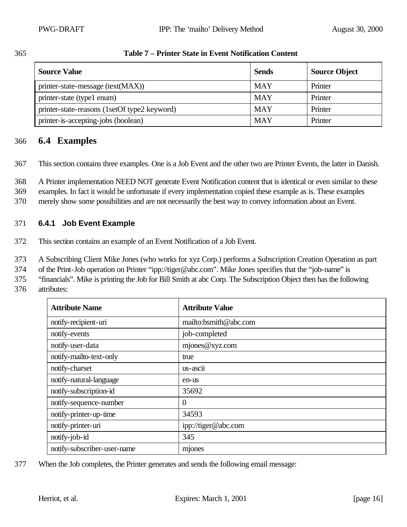| ۰,<br>۰,<br>× |  |
|---------------|--|
|---------------|--|

### 365 **Table 7 – Printer State in Event Notification Content**

| <b>Source Value</b>                          | <b>Sends</b> | <b>Source Object</b> |
|----------------------------------------------|--------------|----------------------|
| printer-state-message (text(MAX))            | <b>MAY</b>   | Printer              |
| printer-state (type1 enum)                   | <b>MAY</b>   | Printer              |
| printer-state-reasons (1setOf type2 keyword) | <b>MAY</b>   | Printer              |
| printer-is-accepting-jobs (boolean)          | <b>MAY</b>   | Printer              |

## 366 **6.4 Examples**

367 This section contains three examples. One is a Job Event and the other two are Printer Events, the latter in Danish.

368 A Printer implementation NEED NOT generate Event Notification content that is identical or even similar to these

369 examples. In fact it would be unfortunate if every implementation copied these example as is. These examples

370 merely show some possibilities and are not necessarily the best way to convey information about an Event.

### 371 **6.4.1 Job Event Example**

372 This section contains an example of an Event Notification of a Job Event.

373 A Subscribing Client Mike Jones (who works for xyz Corp.) performs a Subscription Creation Operation as part

374 of the Print-Job operation on Printer "ipp://tiger@abc.com". Mike Jones specifies that the "job-name" is

375 "financials". Mike is printing the Job for Bill Smith at abc Corp. The Subscription Object then has the following

376 attributes:

| <b>Attribute Name</b>       | <b>Attribute Value</b> |
|-----------------------------|------------------------|
| notify-recipient-uri        | mailto:bsmith@abc.com  |
| notify-events               | job-completed          |
| notify-user-data            | mjones@xyz.com         |
| notify-mailto-text-only     | true                   |
| notify-charset              | us-ascii               |
| notify-natural-language     | en-us                  |
| notify-subscription-id      | 35692                  |
| notify-sequence-number      | $\theta$               |
| notify-printer-up-time      | 34593                  |
| notify-printer-uri          | ipp://tiger@abc.com    |
| notify-job-id               | 345                    |
| notify-subscriber-user-name | mjones                 |

377 When the Job completes, the Printer generates and sends the following email message: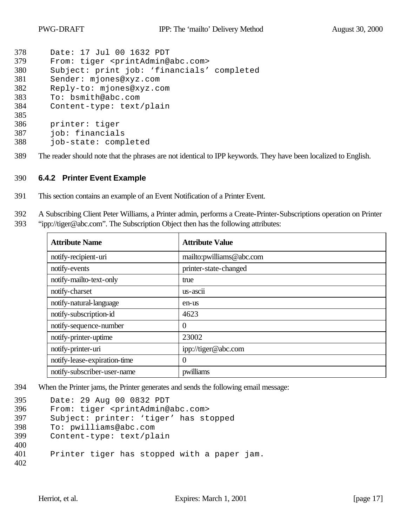```
378 Date: 17 Jul 00 1632 PDT
379 From: tiger <printAdmin@abc.com>
380 Subject: print job: 'financials' completed
381 Sender: mjones@xyz.com
382 Reply-to: mjones@xyz.com
383 To: bsmith@abc.com
384 Content-type: text/plain
385
386 printer: tiger
387 job: financials
388 job-state: completed
```
The reader should note that the phrases are not identical to IPP keywords. They have been localized to English.

#### **6.4.2 Printer Event Example**

- This section contains an example of an Event Notification of a Printer Event.
- A Subscribing Client Peter Williams, a Printer admin, performs a Create-Printer-Subscriptions operation on Printer
- "ipp://tiger@abc.com". The Subscription Object then has the following attributes:

| <b>Attribute Name</b>        | <b>Attribute Value</b>   |
|------------------------------|--------------------------|
| notify-recipient-uri         | mailto:pwilliams@abc.com |
| notify-events                | printer-state-changed    |
| notify-mailto-text-only      | true                     |
| notify-charset               | $us - \text{ascii}$      |
| notify-natural-language      | en-us                    |
| notify-subscription-id       | 4623                     |
| notify-sequence-number       | $\overline{0}$           |
| notify-printer-uptime        | 23002                    |
| notify-printer-uri           | ipp://tiger@abc.com      |
| notify-lease-expiration-time | $\overline{0}$           |
| notify-subscriber-user-name  | pwilliams                |

When the Printer jams, the Printer generates and sends the following email message:

```
395 Date: 29 Aug 00 0832 PDT
396 From: tiger <printAdmin@abc.com>
397 Subject: printer: 'tiger' has stopped
398 To: pwilliams@abc.com
399 Content-type: text/plain
400
401 Printer tiger has stopped with a paper jam.
402
```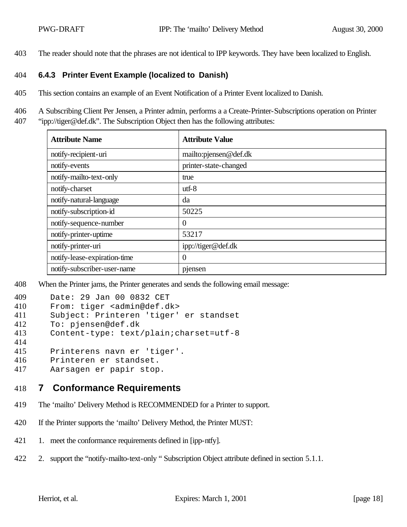403 The reader should note that the phrases are not identical to IPP keywords. They have been localized to English.

### 404 **6.4.3 Printer Event Example (localized to Danish)**

405 This section contains an example of an Event Notification of a Printer Event localized to Danish.

406 A Subscribing Client Per Jensen, a Printer admin, performs a a Create-Printer-Subscriptions operation on Printer 407 "ipp://tiger@def.dk". The Subscription Object then has the following attributes:

| <b>Attribute Name</b>        | <b>Attribute Value</b> |
|------------------------------|------------------------|
| notify-recipient-uri         | mailto:pjensen@def.dk  |
| notify-events                | printer-state-changed  |
| notify-mailto-text-only      | true                   |
| notify-charset               | $utf-8$                |
| notify-natural-language      | da                     |
| notify-subscription-id       | 50225                  |
| notify-sequence-number       | $\overline{0}$         |
| notify-printer-uptime        | 53217                  |
| notify-printer-uri           | ipp://tiger@def.dk     |
| notify-lease-expiration-time | $\overline{0}$         |
| notify-subscriber-user-name  | pjensen                |

408 When the Printer jams, the Printer generates and sends the following email message:

| 409 | Date: 29 Jan 00 0832 CET                  |
|-----|-------------------------------------------|
| 410 | From: tiger <admin@def.dk></admin@def.dk> |
| 411 | Subject: Printeren 'tiger' er standset    |
| 412 | To: pjensen@def.dk                        |
| 413 | Content-type: text/plain; charset=utf-8   |
| 414 |                                           |
| 415 | Printerens navn er 'tiger'.               |
| 416 | Printeren er standset.                    |
| 417 | Aarsagen er papir stop.                   |
|     |                                           |

- 418 **7 Conformance Requirements**
- 419 The 'mailto' Delivery Method is RECOMMENDED for a Printer to support.
- 420 If the Printer supports the 'mailto' Delivery Method, the Printer MUST:
- 421 1. meet the conformance requirements defined in [ipp-ntfy].
- 422 2. support the "notify-mailto-text-only " Subscription Object attribute defined in section 5.1.1.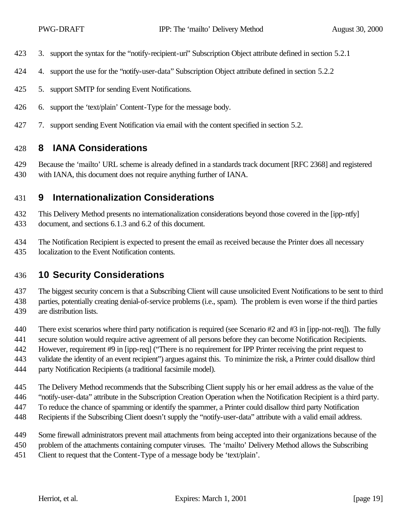- 3. support the syntax for the "notify-recipient-uri" Subscription Object attribute defined in section 5.2.1
- 4. support the use for the "notify-user-data" Subscription Object attribute defined in section 5.2.2
- 5. support SMTP for sending Event Notifications.
- 6. support the 'text/plain' Content-Type for the message body.
- 7. support sending Event Notification via email with the content specified in section 5.2.

## **8 IANA Considerations**

 Because the 'mailto' URL scheme is already defined in a standards track document [RFC 2368] and registered with IANA, this document does not require anything further of IANA.

## **9 Internationalization Considerations**

 This Delivery Method presents no internationalization considerations beyond those covered in the [ipp-ntfy] document, and sections 6.1.3 and 6.2 of this document.

 The Notification Recipient is expected to present the email as received because the Printer does all necessary localization to the Event Notification contents.

## **10 Security Considerations**

 The biggest security concern is that a Subscribing Client will cause unsolicited Event Notifications to be sent to third parties, potentially creating denial-of-service problems (i.e., spam). The problem is even worse if the third parties are distribution lists.

- There exist scenarios where third party notification is required (see Scenario #2 and #3 in [ipp-not-req]). The fully
- secure solution would require active agreement of all persons before they can become Notification Recipients.
- However, requirement #9 in [ipp-req] ("There is no requirement for IPP Printer receiving the print request to
- validate the identity of an event recipient") argues against this. To minimize the risk, a Printer could disallow third
- party Notification Recipients (a traditional facsimile model).
- The Delivery Method recommends that the Subscribing Client supply his or her email address as the value of the
- "notify-user-data" attribute in the Subscription Creation Operation when the Notification Recipient is a third party.
- To reduce the chance of spamming or identify the spammer, a Printer could disallow third party Notification
- Recipients if the Subscribing Client doesn't supply the "notify-user-data" attribute with a valid email address.
- Some firewall administrators prevent mail attachments from being accepted into their organizations because of the
- problem of the attachments containing computer viruses. The 'mailto' Delivery Method allows the Subscribing
- Client to request that the Content-Type of a message body be 'text/plain'.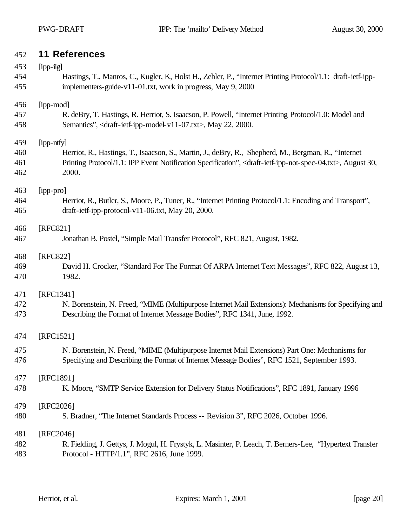## **11 References**

| 453 | [ipp-iig]                                                                                                                                   |
|-----|---------------------------------------------------------------------------------------------------------------------------------------------|
| 454 | Hastings, T., Manros, C., Kugler, K., Holst H., Zehler, P., "Internet Printing Protocol/1.1: draft-ietf-ipp-                                |
| 455 | implementers-guide-v11-01.txt, work in progress, May 9, 2000                                                                                |
| 456 | [ipp-mod]                                                                                                                                   |
| 457 | R. deBry, T. Hastings, R. Herriot, S. Isaacson, P. Powell, "Internet Printing Protocol/1.0: Model and                                       |
| 458 | Semantics", <draft-ietf-ipp-model-v11-07.txt>, May 22, 2000.</draft-ietf-ipp-model-v11-07.txt>                                              |
| 459 | [ipp-ntfy]                                                                                                                                  |
| 460 | Herriot, R., Hastings, T., Isaacson, S., Martin, J., deBry, R., Shepherd, M., Bergman, R., "Internet                                        |
| 461 | Printing Protocol/1.1: IPP Event Notification Specification", <draft-ietf-ipp-not-spec-04.txt>, August 30,</draft-ietf-ipp-not-spec-04.txt> |
| 462 | 2000.                                                                                                                                       |
| 463 | [ipp-pro]                                                                                                                                   |
| 464 | Herriot, R., Butler, S., Moore, P., Tuner, R., "Internet Printing Protocol/1.1: Encoding and Transport",                                    |
| 465 | draft-ietf-ipp-protocol-v11-06.txt, May 20, 2000.                                                                                           |
| 466 | [RFC821]                                                                                                                                    |
| 467 | Jonathan B. Postel, "Simple Mail Transfer Protocol", RFC 821, August, 1982.                                                                 |
| 468 | [RFC822]                                                                                                                                    |
| 469 | David H. Crocker, "Standard For The Format Of ARPA Internet Text Messages", RFC 822, August 13,                                             |
| 470 | 1982.                                                                                                                                       |
| 471 | [RFC1341]                                                                                                                                   |
| 472 | N. Borenstein, N. Freed, "MIME (Multipurpose Internet Mail Extensions): Mechanisms for Specifying and                                       |
| 473 | Describing the Format of Internet Message Bodies", RFC 1341, June, 1992.                                                                    |
| 474 | [RFC1521]                                                                                                                                   |
| 475 | N. Borenstein, N. Freed, "MIME (Multipurpose Internet Mail Extensions) Part One: Mechanisms for                                             |
| 476 | Specifying and Describing the Format of Internet Message Bodies", RFC 1521, September 1993.                                                 |
| 477 | [RFC1891]                                                                                                                                   |
| 478 | K. Moore, "SMTP Service Extension for Delivery Status Notifications", RFC 1891, January 1996                                                |
| 479 | [RFC2026]                                                                                                                                   |
| 480 | S. Bradner, "The Internet Standards Process -- Revision 3", RFC 2026, October 1996.                                                         |
| 481 | [RFC2046]                                                                                                                                   |
| 482 | R. Fielding, J. Gettys, J. Mogul, H. Frystyk, L. Masinter, P. Leach, T. Berners-Lee, "Hypertext Transfer                                    |
| 483 | Protocol - HTTP/1.1", RFC 2616, June 1999.                                                                                                  |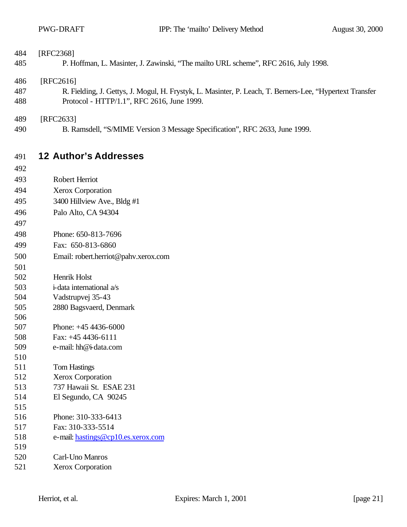| 484<br>485        | [RFC2368]<br>P. Hoffman, L. Masinter, J. Zawinski, "The mailto URL scheme", RFC 2616, July 1998.                                                                    |
|-------------------|---------------------------------------------------------------------------------------------------------------------------------------------------------------------|
| 486<br>487<br>488 | [RFC2616]<br>R. Fielding, J. Gettys, J. Mogul, H. Frystyk, L. Masinter, P. Leach, T. Berners-Lee, "Hypertext Transfer<br>Protocol - HTTP/1.1", RFC 2616, June 1999. |
| 489               | [RFC2633]                                                                                                                                                           |
| 490               | B. Ramsdell, "S/MIME Version 3 Message Specification", RFC 2633, June 1999.                                                                                         |
| 491               | <b>12 Author's Addresses</b>                                                                                                                                        |
| 492               |                                                                                                                                                                     |
| 493               | Robert Herriot                                                                                                                                                      |
| 494               | Xerox Corporation                                                                                                                                                   |
| 495               | 3400 Hillview Ave., Bldg #1                                                                                                                                         |
| 496               | Palo Alto, CA 94304                                                                                                                                                 |
| 497               |                                                                                                                                                                     |
| 498               | Phone: 650-813-7696                                                                                                                                                 |
| 499               | Fax: 650-813-6860                                                                                                                                                   |
| 500               | Email: robert.herriot@pahv.xerox.com                                                                                                                                |
| 501               |                                                                                                                                                                     |
| 502               | Henrik Holst                                                                                                                                                        |
| 503               | i-data international a/s                                                                                                                                            |
| 504               | Vadstrupvej 35-43                                                                                                                                                   |
| 505               | 2880 Bagsvaerd, Denmark                                                                                                                                             |
| 506               |                                                                                                                                                                     |
| 507               | Phone: $+454436-6000$                                                                                                                                               |
| 508               | Fax: $+454436-6111$                                                                                                                                                 |
| 509               | e-mail: hh@i-data.com                                                                                                                                               |
| 510               |                                                                                                                                                                     |
| 511<br>512        | <b>Tom Hastings</b>                                                                                                                                                 |
| 513               | <b>Xerox Corporation</b><br>737 Hawaii St. ESAE 231                                                                                                                 |
| 514               | El Segundo, CA 90245                                                                                                                                                |
| 515               |                                                                                                                                                                     |
| 516               | Phone: 310-333-6413                                                                                                                                                 |
| 517               | Fax: 310-333-5514                                                                                                                                                   |
| 518               | e-mail: hastings@cp10.es.xerox.com                                                                                                                                  |
| 519               |                                                                                                                                                                     |
| 520               | Carl-Uno Manros                                                                                                                                                     |
| 521               | <b>Xerox Corporation</b>                                                                                                                                            |
|                   |                                                                                                                                                                     |